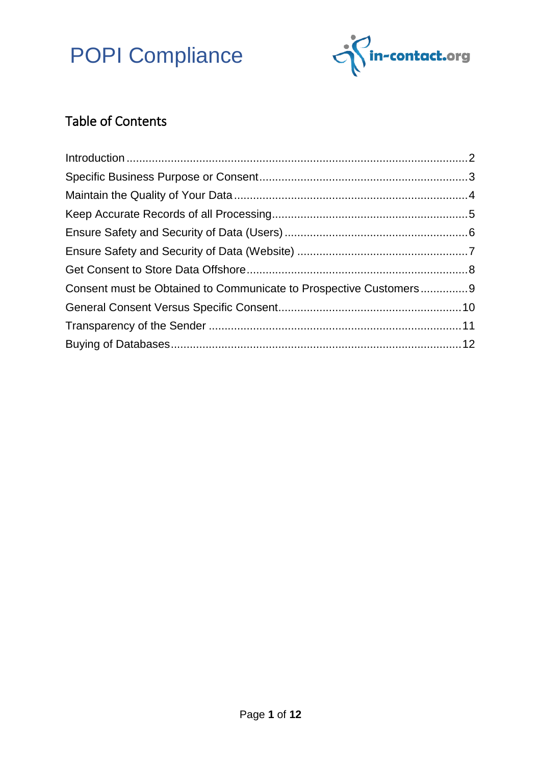

### Table of Contents

| Consent must be Obtained to Communicate to Prospective Customers9 |  |
|-------------------------------------------------------------------|--|
|                                                                   |  |
|                                                                   |  |
|                                                                   |  |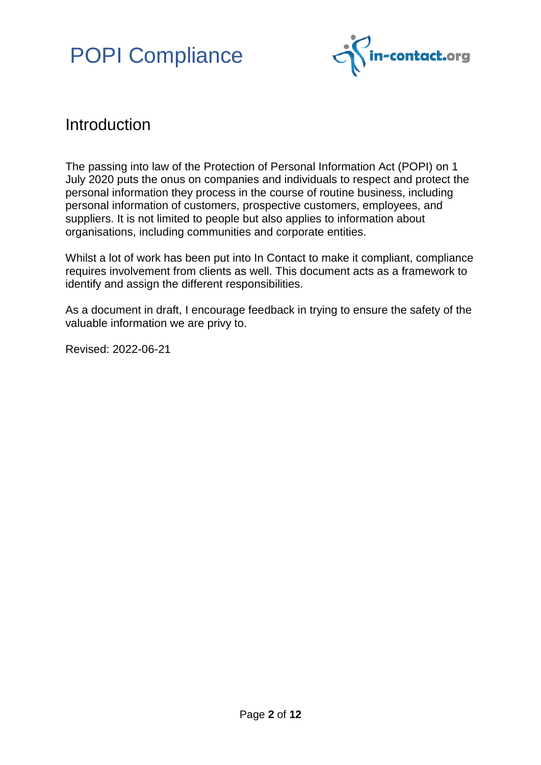

### <span id="page-1-0"></span>Introduction

The passing into law of the Protection of Personal Information Act (POPI) on 1 July 2020 puts the onus on companies and individuals to respect and protect the personal information they process in the course of routine business, including personal information of customers, prospective customers, employees, and suppliers. It is not limited to people but also applies to information about organisations, including communities and corporate entities.

Whilst a lot of work has been put into In Contact to make it compliant, compliance requires involvement from clients as well. This document acts as a framework to identify and assign the different responsibilities.

As a document in draft, I encourage feedback in trying to ensure the safety of the valuable information we are privy to.

Revised: 2022-06-21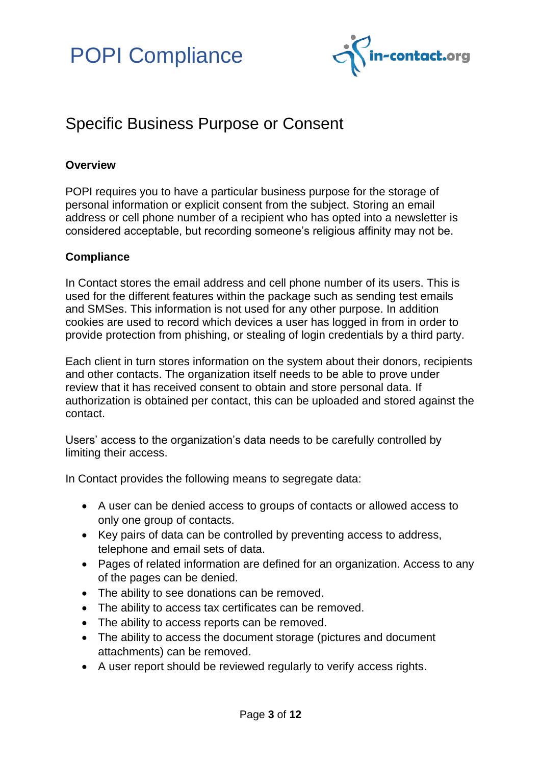

### <span id="page-2-0"></span>Specific Business Purpose or Consent

#### **Overview**

POPI requires you to have a particular business purpose for the storage of personal information or explicit consent from the subject. Storing an email address or cell phone number of a recipient who has opted into a newsletter is considered acceptable, but recording someone's religious affinity may not be.

#### **Compliance**

In Contact stores the email address and cell phone number of its users. This is used for the different features within the package such as sending test emails and SMSes. This information is not used for any other purpose. In addition cookies are used to record which devices a user has logged in from in order to provide protection from phishing, or stealing of login credentials by a third party.

Each client in turn stores information on the system about their donors, recipients and other contacts. The organization itself needs to be able to prove under review that it has received consent to obtain and store personal data. If authorization is obtained per contact, this can be uploaded and stored against the contact.

Users' access to the organization's data needs to be carefully controlled by limiting their access.

In Contact provides the following means to segregate data:

- A user can be denied access to groups of contacts or allowed access to only one group of contacts.
- Key pairs of data can be controlled by preventing access to address, telephone and email sets of data.
- Pages of related information are defined for an organization. Access to any of the pages can be denied.
- The ability to see donations can be removed.
- The ability to access tax certificates can be removed.
- The ability to access reports can be removed.
- The ability to access the document storage (pictures and document attachments) can be removed.
- A user report should be reviewed regularly to verify access rights.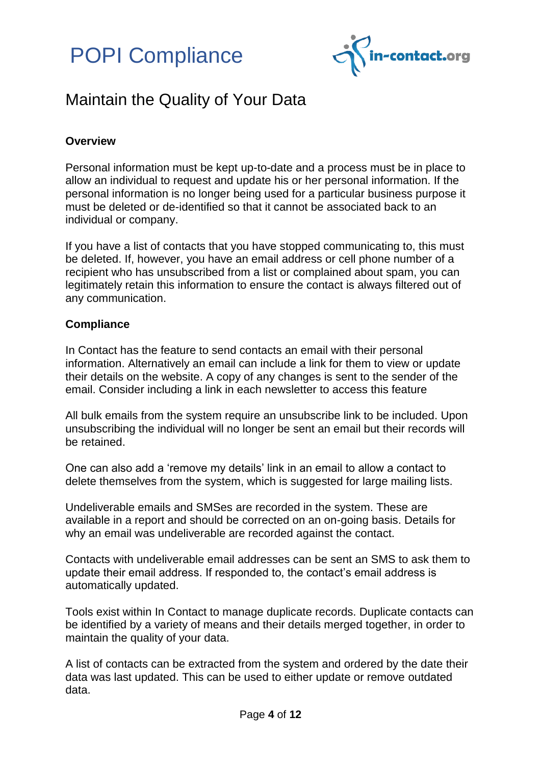



### <span id="page-3-0"></span>Maintain the Quality of Your Data

#### **Overview**

Personal information must be kept up-to-date and a process must be in place to allow an individual to request and update his or her personal information. If the personal information is no longer being used for a particular business purpose it must be deleted or de-identified so that it cannot be associated back to an individual or company.

If you have a list of contacts that you have stopped communicating to, this must be deleted. If, however, you have an email address or cell phone number of a recipient who has unsubscribed from a list or complained about spam, you can legitimately retain this information to ensure the contact is always filtered out of any communication.

#### **Compliance**

In Contact has the feature to send contacts an email with their personal information. Alternatively an email can include a link for them to view or update their details on the website. A copy of any changes is sent to the sender of the email. Consider including a link in each newsletter to access this feature

All bulk emails from the system require an unsubscribe link to be included. Upon unsubscribing the individual will no longer be sent an email but their records will be retained.

One can also add a 'remove my details' link in an email to allow a contact to delete themselves from the system, which is suggested for large mailing lists.

Undeliverable emails and SMSes are recorded in the system. These are available in a report and should be corrected on an on-going basis. Details for why an email was undeliverable are recorded against the contact.

Contacts with undeliverable email addresses can be sent an SMS to ask them to update their email address. If responded to, the contact's email address is automatically updated.

Tools exist within In Contact to manage duplicate records. Duplicate contacts can be identified by a variety of means and their details merged together, in order to maintain the quality of your data.

A list of contacts can be extracted from the system and ordered by the date their data was last updated. This can be used to either update or remove outdated data.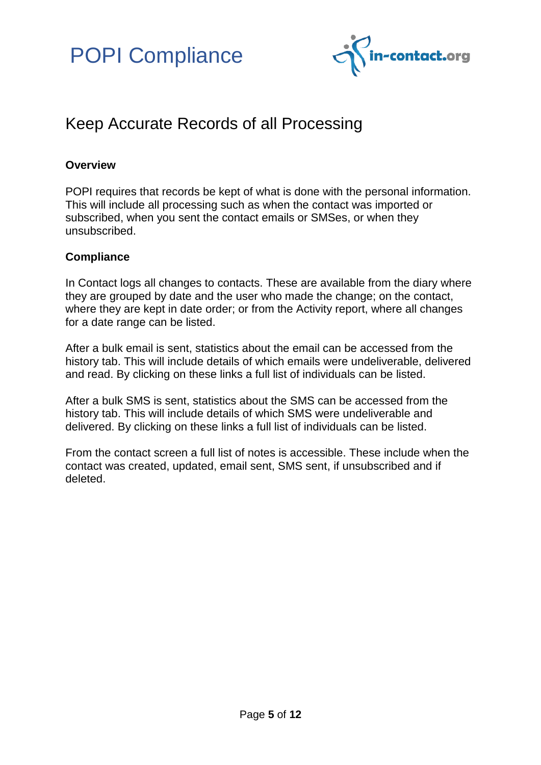

### <span id="page-4-0"></span>Keep Accurate Records of all Processing

#### **Overview**

POPI requires that records be kept of what is done with the personal information. This will include all processing such as when the contact was imported or subscribed, when you sent the contact emails or SMSes, or when they unsubscribed.

#### **Compliance**

In Contact logs all changes to contacts. These are available from the diary where they are grouped by date and the user who made the change; on the contact, where they are kept in date order; or from the Activity report, where all changes for a date range can be listed.

After a bulk email is sent, statistics about the email can be accessed from the history tab. This will include details of which emails were undeliverable, delivered and read. By clicking on these links a full list of individuals can be listed.

After a bulk SMS is sent, statistics about the SMS can be accessed from the history tab. This will include details of which SMS were undeliverable and delivered. By clicking on these links a full list of individuals can be listed.

From the contact screen a full list of notes is accessible. These include when the contact was created, updated, email sent, SMS sent, if unsubscribed and if deleted.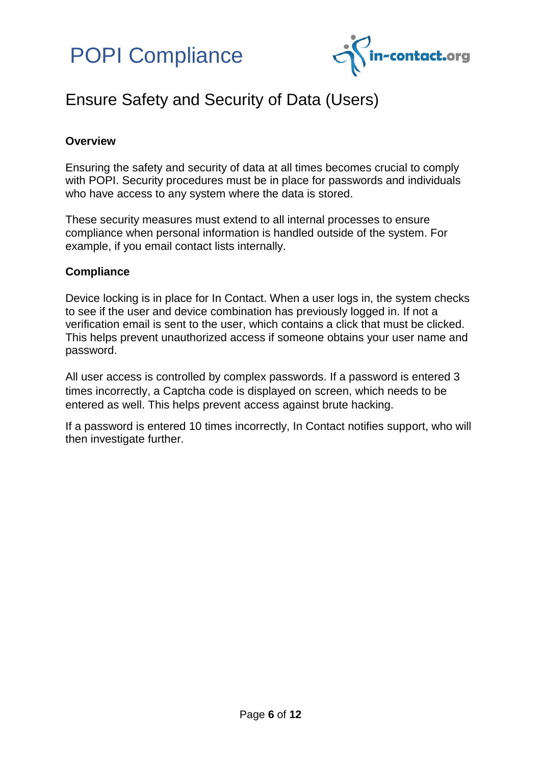



### <span id="page-5-0"></span>Ensure Safety and Security of Data (Users)

#### **Overview**

Ensuring the safety and security of data at all times becomes crucial to comply with POPI. Security procedures must be in place for passwords and individuals who have access to any system where the data is stored.

These security measures must extend to all internal processes to ensure compliance when personal information is handled outside of the system. For example, if you email contact lists internally.

#### **Compliance**

Device locking is in place for In Contact. When a user logs in, the system checks to see if the user and device combination has previously logged in. If not a verification email is sent to the user, which contains a click that must be clicked. This helps prevent unauthorized access if someone obtains your user name and password.

All user access is controlled by complex passwords. If a password is entered 3 times incorrectly, a Captcha code is displayed on screen, which needs to be entered as well. This helps prevent access against brute hacking.

If a password is entered 10 times incorrectly, In Contact notifies support, who will then investigate further.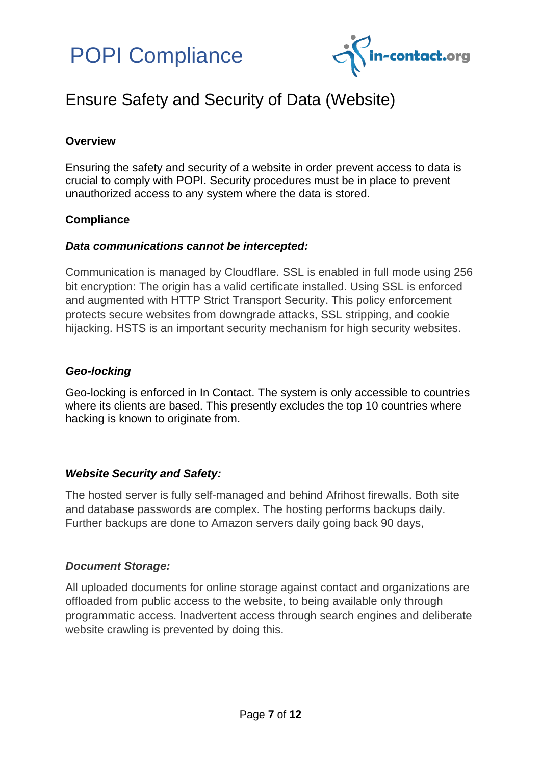



### <span id="page-6-0"></span>Ensure Safety and Security of Data (Website)

#### **Overview**

Ensuring the safety and security of a website in order prevent access to data is crucial to comply with POPI. Security procedures must be in place to prevent unauthorized access to any system where the data is stored.

#### **Compliance**

#### *Data communications cannot be intercepted:*

Communication is managed by Cloudflare. SSL is enabled in full mode using 256 bit encryption: The origin has a valid certificate installed. Using SSL is enforced and augmented with HTTP Strict Transport Security. This policy enforcement protects secure websites from downgrade attacks, SSL stripping, and cookie hijacking. HSTS is an important security mechanism for high security websites.

#### *Geo-locking*

Geo-locking is enforced in In Contact. The system is only accessible to countries where its clients are based. This presently excludes the top 10 countries where hacking is known to originate from.

#### *Website Security and Safety:*

The hosted server is fully self-managed and behind Afrihost firewalls. Both site and database passwords are complex. The hosting performs backups daily. Further backups are done to Amazon servers daily going back 90 days,

#### *Document Storage:*

All uploaded documents for online storage against contact and organizations are offloaded from public access to the website, to being available only through programmatic access. Inadvertent access through search engines and deliberate website crawling is prevented by doing this.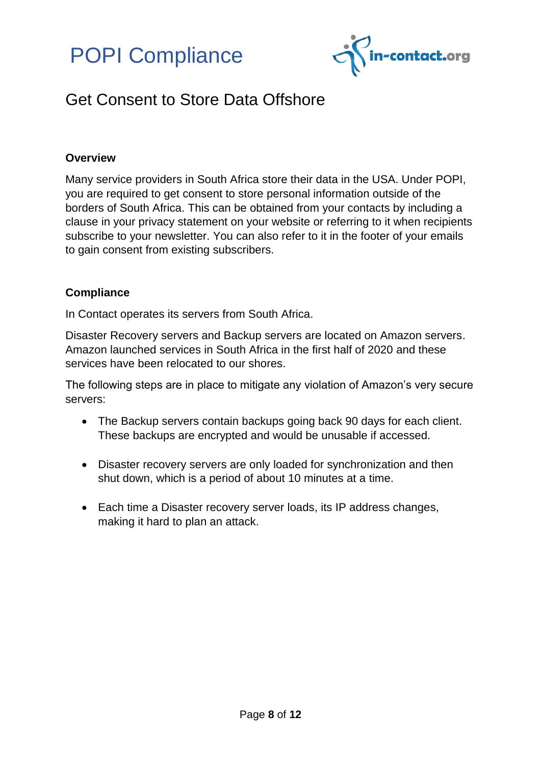



### <span id="page-7-0"></span>Get Consent to Store Data Offshore

#### **Overview**

Many service providers in South Africa store their data in the USA. Under POPI, you are required to get consent to store personal information outside of the borders of South Africa. This can be obtained from your contacts by including a clause in your privacy statement on your website or referring to it when recipients subscribe to your newsletter. You can also refer to it in the footer of your emails to gain consent from existing subscribers.

#### **Compliance**

In Contact operates its servers from South Africa.

Disaster Recovery servers and Backup servers are located on Amazon servers. Amazon launched services in South Africa in the first half of 2020 and these services have been relocated to our shores.

The following steps are in place to mitigate any violation of Amazon's very secure servers:

- The Backup servers contain backups going back 90 days for each client. These backups are encrypted and would be unusable if accessed.
- Disaster recovery servers are only loaded for synchronization and then shut down, which is a period of about 10 minutes at a time.
- Each time a Disaster recovery server loads, its IP address changes, making it hard to plan an attack.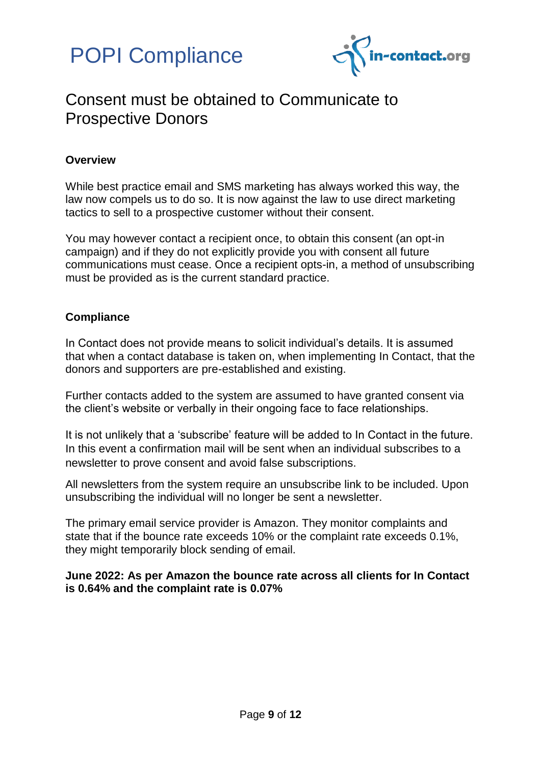



### <span id="page-8-0"></span>Consent must be obtained to Communicate to Prospective Donors

#### **Overview**

While best practice email and SMS marketing has always worked this way, the law now compels us to do so. It is now against the law to use direct marketing tactics to sell to a prospective customer without their consent.

You may however contact a recipient once, to obtain this consent (an opt-in campaign) and if they do not explicitly provide you with consent all future communications must cease. Once a recipient opts-in, a method of unsubscribing must be provided as is the current standard practice.

#### **Compliance**

In Contact does not provide means to solicit individual's details. It is assumed that when a contact database is taken on, when implementing In Contact, that the donors and supporters are pre-established and existing.

Further contacts added to the system are assumed to have granted consent via the client's website or verbally in their ongoing face to face relationships.

It is not unlikely that a 'subscribe' feature will be added to In Contact in the future. In this event a confirmation mail will be sent when an individual subscribes to a newsletter to prove consent and avoid false subscriptions.

All newsletters from the system require an unsubscribe link to be included. Upon unsubscribing the individual will no longer be sent a newsletter.

The primary email service provider is Amazon. They monitor complaints and state that if the bounce rate exceeds 10% or the complaint rate exceeds 0.1%, they might temporarily block sending of email.

**June 2022: As per Amazon the bounce rate across all clients for In Contact is 0.64% and the complaint rate is 0.07%**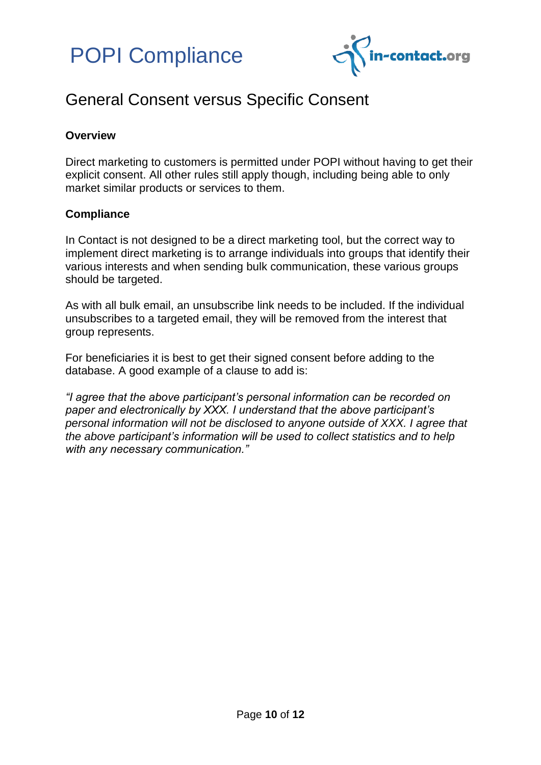



### <span id="page-9-0"></span>General Consent versus Specific Consent

#### **Overview**

Direct marketing to customers is permitted under POPI without having to get their explicit consent. All other rules still apply though, including being able to only market similar products or services to them.

#### **Compliance**

In Contact is not designed to be a direct marketing tool, but the correct way to implement direct marketing is to arrange individuals into groups that identify their various interests and when sending bulk communication, these various groups should be targeted.

As with all bulk email, an unsubscribe link needs to be included. If the individual unsubscribes to a targeted email, they will be removed from the interest that group represents.

For beneficiaries it is best to get their signed consent before adding to the database. A good example of a clause to add is:

*"I agree that the above participant's personal information can be recorded on paper and electronically by XXX. I understand that the above participant's personal information will not be disclosed to anyone outside of XXX. I agree that the above participant's information will be used to collect statistics and to help with any necessary communication."*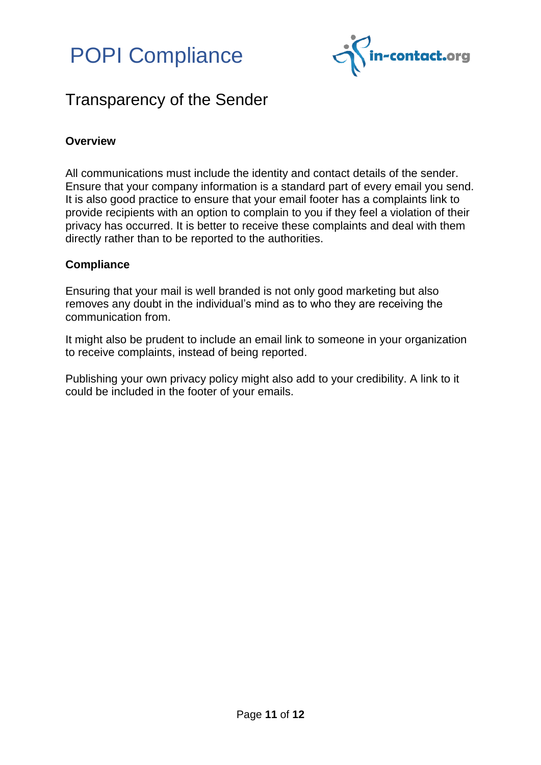

### <span id="page-10-0"></span>Transparency of the Sender

#### **Overview**

All communications must include the identity and contact details of the sender. Ensure that your company information is a standard part of every email you send. It is also good practice to ensure that your email footer has a complaints link to provide recipients with an option to complain to you if they feel a violation of their privacy has occurred. It is better to receive these complaints and deal with them directly rather than to be reported to the authorities.

#### **Compliance**

Ensuring that your mail is well branded is not only good marketing but also removes any doubt in the individual's mind as to who they are receiving the communication from.

It might also be prudent to include an email link to someone in your organization to receive complaints, instead of being reported.

Publishing your own privacy policy might also add to your credibility. A link to it could be included in the footer of your emails.